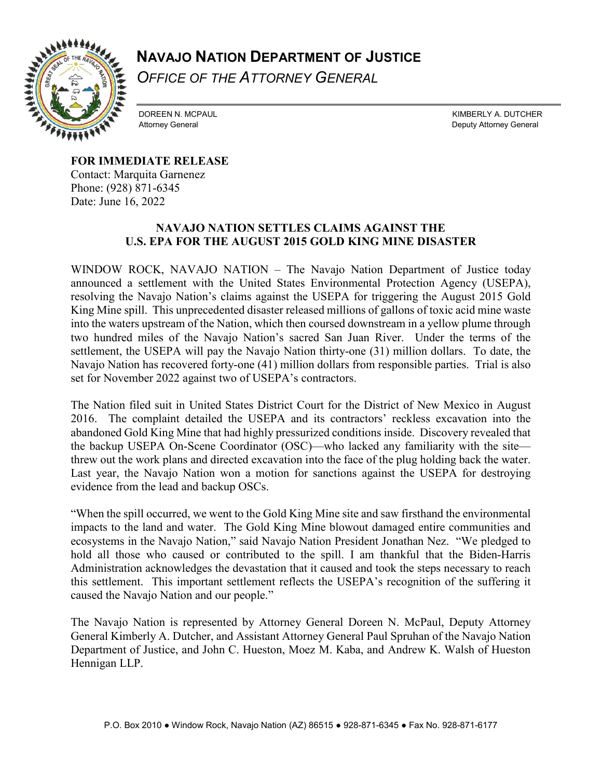## **NAVAJO NATION DEPARTMENT OF JUSTICE**

*OFFICE OF THE ATTORNEY GENERAL*



DOREEN N. MCPAUL **KIMBERLY A. DUTCHER** Attorney General **Attorney General** Attorney General Deputy Attorney General Attorney General Deputy Attorney General

**FOR IMMEDIATE RELEASE**

 $\overline{a}$ 

Contact: Marquita Garnenez Phone: (928) 871-6345 Date: June 16, 2022

## **NAVAJO NATION SETTLES CLAIMS AGAINST THE U.S. EPA FOR THE AUGUST 2015 GOLD KING MINE DISASTER**

WINDOW ROCK, NAVAJO NATION – The Navajo Nation Department of Justice today announced a settlement with the United States Environmental Protection Agency (USEPA), resolving the Navajo Nation's claims against the USEPA for triggering the August 2015 Gold King Mine spill. This unprecedented disaster released millions of gallons of toxic acid mine waste into the waters upstream of the Nation, which then coursed downstream in a yellow plume through two hundred miles of the Navajo Nation's sacred San Juan River. Under the terms of the settlement, the USEPA will pay the Navajo Nation thirty-one (31) million dollars. To date, the Navajo Nation has recovered forty-one (41) million dollars from responsible parties. Trial is also set for November 2022 against two of USEPA's contractors.

The Nation filed suit in United States District Court for the District of New Mexico in August 2016. The complaint detailed the USEPA and its contractors' reckless excavation into the abandoned Gold King Mine that had highly pressurized conditions inside. Discovery revealed that the backup USEPA On-Scene Coordinator (OSC)—who lacked any familiarity with the site threw out the work plans and directed excavation into the face of the plug holding back the water. Last year, the Navajo Nation won a motion for sanctions against the USEPA for destroying evidence from the lead and backup OSCs.

"When the spill occurred, we went to the Gold King Mine site and saw firsthand the environmental impacts to the land and water. The Gold King Mine blowout damaged entire communities and ecosystems in the Navajo Nation," said Navajo Nation President Jonathan Nez. "We pledged to hold all those who caused or contributed to the spill. I am thankful that the Biden-Harris Administration acknowledges the devastation that it caused and took the steps necessary to reach this settlement. This important settlement reflects the USEPA's recognition of the suffering it caused the Navajo Nation and our people."

The Navajo Nation is represented by Attorney General Doreen N. McPaul, Deputy Attorney General Kimberly A. Dutcher, and Assistant Attorney General Paul Spruhan of the Navajo Nation Department of Justice, and John C. Hueston, Moez M. Kaba, and Andrew K. Walsh of Hueston Hennigan LLP.